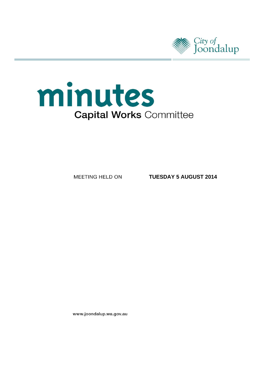



MEETING HELD ON

**TUESDAY 5 AUGUST 2014**

www.joondalup.wa.gov.au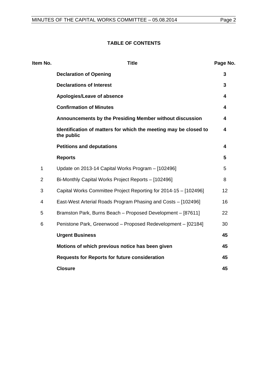# **TABLE OF CONTENTS**

| Item No.       | <b>Title</b>                                                                   | Page No. |
|----------------|--------------------------------------------------------------------------------|----------|
|                | <b>Declaration of Opening</b>                                                  | 3        |
|                | <b>Declarations of Interest</b>                                                | 3        |
|                | Apologies/Leave of absence                                                     | 4        |
|                | <b>Confirmation of Minutes</b>                                                 | 4        |
|                | Announcements by the Presiding Member without discussion                       | 4        |
|                | Identification of matters for which the meeting may be closed to<br>the public | 4        |
|                | <b>Petitions and deputations</b>                                               | 4        |
|                | <b>Reports</b>                                                                 | 5        |
| $\mathbf{1}$   | Update on 2013-14 Capital Works Program - [102496]                             | 5        |
| $\overline{2}$ | Bi-Monthly Capital Works Project Reports - [102496]                            | 8        |
| 3              | Capital Works Committee Project Reporting for 2014-15 - [102496]               | 12       |
| 4              | East-West Arterial Roads Program Phasing and Costs - [102496]                  | 16       |
| 5              | Bramston Park, Burns Beach - Proposed Development - [87611]                    | 22       |
| 6              | Penistone Park, Greenwood - Proposed Redevelopment - [02184]                   | 30       |
|                | <b>Urgent Business</b>                                                         | 45       |
|                | Motions of which previous notice has been given                                | 45       |
|                | <b>Requests for Reports for future consideration</b>                           | 45       |
|                | <b>Closure</b>                                                                 | 45       |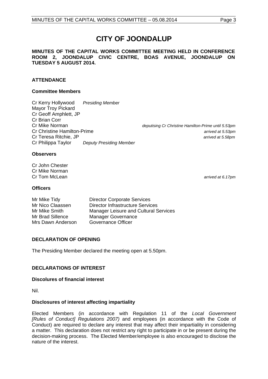# **CITY OF JOONDALUP**

#### **MINUTES OF THE CAPITAL WORKS COMMITTEE MEETING HELD IN CONFERENCE ROOM 2, JOONDALUP CIVIC CENTRE, BOAS AVENUE, JOONDALUP ON TUESDAY 5 AUGUST 2014.**

# **ATTENDANCE**

#### **Committee Members**

Cr Kerry Hollywood *Presiding Member* Mayor Troy Pickard Cr Geoff Amphlett, JP Cr Brian Corr<br>Cr Mike Norman Cr Christine Hamilton-Prime *arrived at 5.53pm* Cr Teresa Ritchie, JP *arrived at 5.58pm* Cr Philippa Taylor *Deputy Presiding Member*

Cr Mike Norman *deputising Cr Christine Hamilton-Prime until 5.53pm*

#### **Observers**

Cr John Chester Cr Mike Norman<br>Cr Tom McLean

#### **Officers**

| Mr Mike Tidy      | <b>Director Corporate Services</b>           |
|-------------------|----------------------------------------------|
| Mr Nico Claassen  | <b>Director Infrastructure Services</b>      |
| Mr Mike Smith     | <b>Manager Leisure and Cultural Services</b> |
| Mr Brad Sillence  | <b>Manager Governance</b>                    |
| Mrs Dawn Anderson | Governance Officer                           |

# <span id="page-2-0"></span>**DECLARATION OF OPENING**

The Presiding Member declared the meeting open at 5.50pm.

# <span id="page-2-1"></span>**DECLARATIONS OF INTEREST**

#### **Discolures of financial interest**

Nil.

#### **Disclosures of interest affecting impartiality**

Elected Members (in accordance with Regulation 11 of the *Local Government [Rules of Conduct] Regulations 2007)* and employees (in accordance with the Code of Conduct) are required to declare any interest that may affect their impartiality in considering a matter. This declaration does not restrict any right to participate in or be present during the decision-making process. The Elected Member/employee is also encouraged to disclose the nature of the interest.

arrived at 6.17pm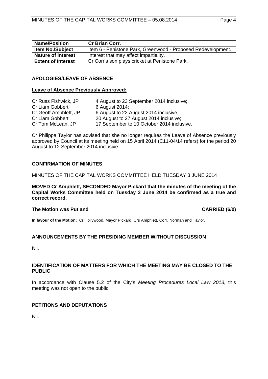| <b>Name/Position</b>      | <b>Cr Brian Corr.</b>                                        |
|---------------------------|--------------------------------------------------------------|
| <b>Item No./Subject</b>   | Item 6 - Penistone Park, Greenwood - Proposed Redevelopment. |
| <b>Nature of interest</b> | Interest that may affect impartiality.                       |
| <b>Extent of Interest</b> | Cr Corr's son plays cricket at Penistone Park.               |

#### <span id="page-3-0"></span>**APOLOGIES/LEAVE OF ABSENCE**

#### **Leave of Absence Previously Approved:**

| Cr Russ Fishwick, JP  | 4 August to 23 September 2014 inclusive;   |
|-----------------------|--------------------------------------------|
| Cr Liam Gobbert       | 6 August 2014;                             |
| Cr Geoff Amphlett, JP | 6 August to 22 August 2014 inclusive;      |
| Cr Liam Gobbert       | 20 August to 27 August 2014 inclusive;     |
| Cr Tom McLean, JP     | 17 September to 10 October 2014 inclusive. |

Cr Philippa Taylor has advised that she no longer requires the Leave of Absence previously approved by Council at its meeting held on 15 April 2014 (C11-04/14 refers) for the period 20 August to 12 September 2014 inclusive.

#### <span id="page-3-1"></span>**CONFIRMATION OF MINUTES**

#### MINUTES OF THE CAPITAL WORKS COMMITTEE HELD TUESDAY 3 JUNE 2014

**MOVED Cr Amphlett, SECONDED Mayor Pickard that the minutes of the meeting of the Capital Works Committee held on Tuesday 3 June 2014 be confirmed as a true and correct record.**

#### **The Motion was Put and CARRIED (6/0)**

**In favour of the Motion:** Cr Hollywood, Mayor Pickard, Crs Amphlett, Corr, Norman and Taylor.

# <span id="page-3-2"></span>**ANNOUNCEMENTS BY THE PRESIDING MEMBER WITHOUT DISCUSSION**

Nil.

#### <span id="page-3-3"></span>**IDENTIFICATION OF MATTERS FOR WHICH THE MEETING MAY BE CLOSED TO THE PUBLIC**

In accordance with Clause 5.2 of the City's *Meeting Procedures Local Law 2013*, this meeting was not open to the public.

# <span id="page-3-4"></span>**PETITIONS AND DEPUTATIONS**

<span id="page-3-5"></span>Nil.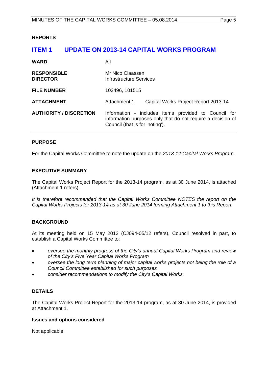#### **REPORTS**

# <span id="page-4-0"></span>**ITEM 1 UPDATE ON 2013-14 CAPITAL WORKS PROGRAM**

| <b>WARD</b>                           | All                                                                                                                                                    |  |
|---------------------------------------|--------------------------------------------------------------------------------------------------------------------------------------------------------|--|
| <b>RESPONSIBLE</b><br><b>DIRECTOR</b> | Mr Nico Claassen<br>Infrastructure Services                                                                                                            |  |
| <b>FILE NUMBER</b>                    | 102496, 101515                                                                                                                                         |  |
| <b>ATTACHMENT</b>                     | Attachment 1<br>Capital Works Project Report 2013-14                                                                                                   |  |
| <b>AUTHORITY / DISCRETION</b>         | Information - includes items provided to Council for<br>information purposes only that do not require a decision of<br>Council (that is for 'noting'). |  |

# **PURPOSE**

For the Capital Works Committee to note the update on the *2013-14 Capital Works Program*.

#### **EXECUTIVE SUMMARY**

The Capital Works Project Report for the 2013-14 program, as at 30 June 2014, is attached (Attachment 1 refers).

*It is therefore recommended that the Capital Works Committee NOTES the report on the Capital Works Projects for 2013-14 as at 30 June 2014 forming Attachment 1 to this Report.*

# **BACKGROUND**

At its meeting held on 15 May 2012 (CJ094-05/12 refers), Council resolved in part, to establish a Capital Works Committee to:

- *oversee the monthly progress of the City's annual Capital Works Program and review of the City's Five Year Capital Works Program*
- *oversee the long term planning of major capital works projects not being the role of a Council Committee established for such purposes*
- *consider recommendations to modify the City's Capital Works.*

# **DETAILS**

The Capital Works Project Report for the 2013-14 program, as at 30 June 2014, is provided at Attachment 1.

#### **Issues and options considered**

Not applicable.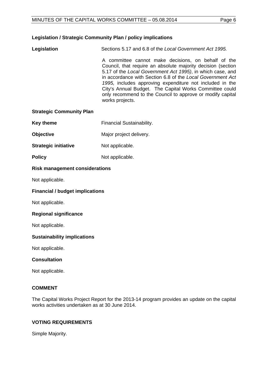# **Legislation / Strategic Community Plan / policy implications**

**Legislation** Sections 5.17 and 6.8 of the *Local Government Act 1995.*

A committee cannot make decisions, on behalf of the Council, that require an absolute majority decision (section 5.17 of the *Local Government Act 1995)*, in which case, and in accordance with Section 6.8 of the *Local Government Act 1995,* includes approving expenditure not included in the City's Annual Budget. The Capital Works Committee could only recommend to the Council to approve or modify capital works projects.

### **Strategic Community Plan**

- **Key theme** Financial Sustainability.
- **Objective** Major project delivery.
- **Strategic initiative** Not applicable.
- **Policy** Not applicable.

# **Risk management considerations**

Not applicable.

# **Financial / budget implications**

Not applicable.

#### **Regional significance**

Not applicable.

#### **Sustainability implications**

Not applicable.

# **Consultation**

Not applicable.

# **COMMENT**

The Capital Works Project Report for the 2013-14 program provides an update on the capital works activities undertaken as at 30 June 2014.

# **VOTING REQUIREMENTS**

Simple Majority.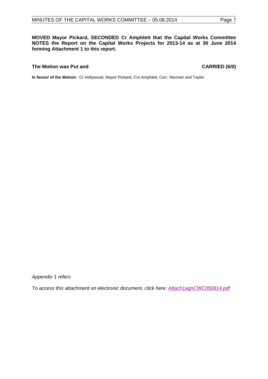**MOVED Mayor Pickard, SECONDED Cr Amphlett that the Capital Works Committee NOTES the Report on the Capital Works Projects for 2013-14 as at 30 June 2014 forming Attachment 1 to this report.**

#### **The Motion was Put and CARRIED (6/0)**

**In favour of the Motion:** Cr Hollywood, Mayor Pickard, Crs Amphlett, Corr, Norman and Taylor.

*Appendix 1 refers*

*[To access this attachment on electronic document, click here: Attach1agnCWC050814.pdf](http://www.joondalup.wa.gov.au/files/committees/CWOC/2014/Attach1agnCWC050814.pdf)*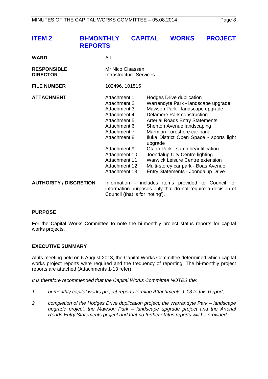<span id="page-7-0"></span>

| <b>ITEM 2</b> | BI-MONTHLY CAPITAL WORKS PROJECT |  |  |
|---------------|----------------------------------|--|--|
|               | <b>REPORTS</b>                   |  |  |
|               |                                  |  |  |

| WARD                                  | All                                                                                                                                                                                                              |                                                                                                                                                                                                                                                                                                                                                                                                                                                                                                    |  |
|---------------------------------------|------------------------------------------------------------------------------------------------------------------------------------------------------------------------------------------------------------------|----------------------------------------------------------------------------------------------------------------------------------------------------------------------------------------------------------------------------------------------------------------------------------------------------------------------------------------------------------------------------------------------------------------------------------------------------------------------------------------------------|--|
| <b>RESPONSIBLE</b><br><b>DIRECTOR</b> | Mr Nico Claassen<br>Infrastructure Services                                                                                                                                                                      |                                                                                                                                                                                                                                                                                                                                                                                                                                                                                                    |  |
| <b>FILE NUMBER</b>                    | 102496, 101515                                                                                                                                                                                                   |                                                                                                                                                                                                                                                                                                                                                                                                                                                                                                    |  |
| <b>ATTACHMENT</b>                     | Attachment 1<br>Attachment 2<br>Attachment 3<br>Attachment 4<br>Attachment 5<br>Attachment 6<br>Attachment 7<br>Attachment 8<br>Attachment 9<br>Attachment 10<br>Attachment 11<br>Attachment 12<br>Attachment 13 | Hodges Drive duplication<br>Warrandyte Park - landscape upgrade<br>Mawson Park - landscape upgrade<br><b>Delamere Park construction</b><br><b>Arterial Roads Entry Statements</b><br>Shenton Avenue landscaping<br>Marmion Foreshore car park<br>Iluka District Open Space - sports light<br>upgrade<br>Otago Park - sump beautification<br>Joondalup City Centre lighting<br><b>Warwick Leisure Centre extension</b><br>Multi-storey car park - Boas Avenue<br>Entry Statements - Joondalup Drive |  |
| <b>AUTHORITY / DISCRETION</b>         | Council (that is for 'noting').                                                                                                                                                                                  | Information - includes items provided to Council for<br>information purposes only that do not require a decision of                                                                                                                                                                                                                                                                                                                                                                                |  |

# **PURPOSE**

For the Capital Works Committee to note the bi-monthly project status reports for capital works projects.

# **EXECUTIVE SUMMARY**

At its meeting held on 6 August 2013, the Capital Works Committee determined which capital works project reports were required and the frequency of reporting. The bi-monthly project reports are attached (Attachments 1-13 refer).

*It is therefore recommended that the Capital Works Committee NOTES the:*

- *1 bi-monthly capital works project reports forming Attachments 1-13 to this Report;*
- *2 completion of the Hodges Drive duplication project, the Warrandyte Park – landscape upgrade project, the Mawson Park – landscape upgrade project and the Arterial Roads Entry Statements project and that no further status reports will be provided.*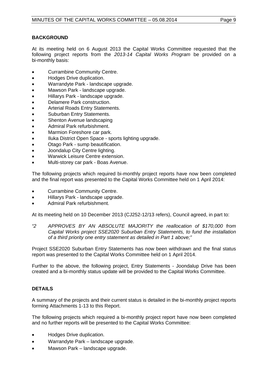# **BACKGROUND**

At its meeting held on 6 August 2013 the Capital Works Committee requested that the following project reports from the *2013-14 Capital Works Program* be provided on a bi-monthly basis:

- Currambine Community Centre.
- Hodges Drive duplication.
- Warrandyte Park landscape upgrade.
- Mawson Park landscape upgrade.
- Hillarys Park landscape upgrade.
- Delamere Park construction.
- Arterial Roads Entry Statements.
- Suburban Entry Statements.
- Shenton Avenue landscaping
- Admiral Park refurbishment.
- Marmion Foreshore car park.
- Iluka District Open Space sports lighting upgrade.
- Otago Park sump beautification.
- Joondalup City Centre lighting.
- Warwick Leisure Centre extension.
- Multi-storey car park Boas Avenue.

The following projects which required bi-monthly project reports have now been completed and the final report was presented to the Capital Works Committee held on 1 April 2014:

- Currambine Community Centre.
- Hillarys Park landscape upgrade.
- Admiral Park refurbishment.

At its meeting held on 10 December 2013 (CJ252-12/13 refers), Council agreed, in part to:

*"2 APPROVES BY AN ABSOLUTE MAJORITY the reallocation of \$170,000 from Capital Works project SSE2020 Suburban Entry Statements, to fund the installation of a third priority one entry statement as detailed in Part 1 above;"*

Project SSE2020 Suburban Entry Statements has now been withdrawn and the final status report was presented to the Capital Works Committee held on 1 April 2014.

Further to the above, the following project, Entry Statements - Joondalup Drive has been created and a bi-monthly status update will be provided to the Capital Works Committee.

# **DETAILS**

A summary of the projects and their current status is detailed in the bi-monthly project reports forming Attachments 1-13 to this Report.

The following projects which required a bi-monthly project report have now been completed and no further reports will be presented to the Capital Works Committee:

- Hodges Drive duplication.
- Warrandyte Park landscape upgrade.
- Mawson Park landscape upgrade.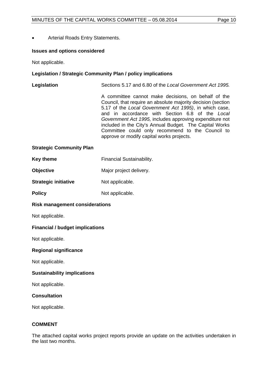• Arterial Roads Entry Statements.

### **Issues and options considered**

Not applicable.

### **Legislation / Strategic Community Plan / policy implications**

**Legislation** Sections 5.17 and 6.80 of the *Local Government Act 1995.*

A committee cannot make decisions, on behalf of the Council, that require an absolute majority decision (section 5.17 of the *Local Government Act 1995)*, in which case, and in accordance with Section 6.8 of the *Local Government Act 1995,* includes approving expenditure not included in the City's Annual Budget. The Capital Works Committee could only recommend to the Council to approve or modify capital works projects.

#### **Strategic Community Plan**

| Key theme        | <b>Financial Sustainability.</b> |  |
|------------------|----------------------------------|--|
| <b>Objective</b> | Major project delivery.          |  |

**Strategic initiative** Not applicable.

**Policy** Not applicable.

#### **Risk management considerations**

Not applicable.

# **Financial / budget implications**

Not applicable.

#### **Regional significance**

Not applicable.

#### **Sustainability implications**

Not applicable.

#### **Consultation**

Not applicable.

# **COMMENT**

The attached capital works project reports provide an update on the activities undertaken in the last two months.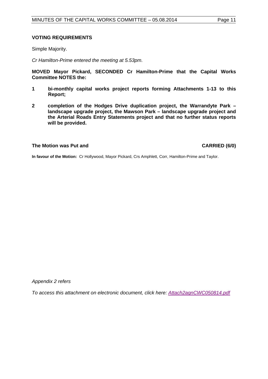#### **VOTING REQUIREMENTS**

Simple Majority.

*Cr Hamilton-Prime entered the meeting at 5.53pm.*

**MOVED Mayor Pickard, SECONDED Cr Hamilton-Prime that the Capital Works Committee NOTES the:**

- **1 bi-monthly capital works project reports forming Attachments 1-13 to this Report;**
- **2 completion of the Hodges Drive duplication project, the Warrandyte Park – landscape upgrade project, the Mawson Park – landscape upgrade project and the Arterial Roads Entry Statements project and that no further status reports will be provided.**

### **The Motion was Put and CARRIED (6/0)**

**In favour of the Motion:** Cr Hollywood, Mayor Pickard, Crs Amphlett, Corr, Hamilton-Prime and Taylor.

*Appendix 2 refers*

*[To access this attachment on electronic document, click here: Attach2agnCWC050814.pdf](http://www.joondalup.wa.gov.au/files/committees/CWOC/2014/Attach2agnCWC050814.pdf)*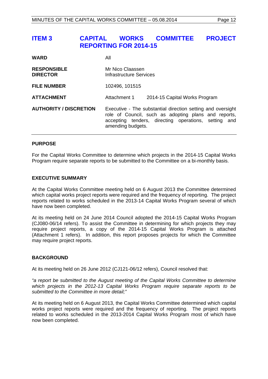# <span id="page-11-0"></span>**ITEM 3 CAPITAL WORKS COMMITTEE PROJECT REPORTING FOR 2014-15**

| <b>WARD</b>                           | All                                                                                                                                                                                              |                               |
|---------------------------------------|--------------------------------------------------------------------------------------------------------------------------------------------------------------------------------------------------|-------------------------------|
| <b>RESPONSIBLE</b><br><b>DIRECTOR</b> | Mr Nico Claassen<br>Infrastructure Services                                                                                                                                                      |                               |
| <b>FILE NUMBER</b>                    | 102496, 101515                                                                                                                                                                                   |                               |
| <b>ATTACHMENT</b>                     | Attachment 1                                                                                                                                                                                     | 2014-15 Capital Works Program |
| <b>AUTHORITY / DISCRETION</b>         | Executive - The substantial direction setting and oversight<br>role of Council, such as adopting plans and reports,<br>accepting tenders, directing operations, setting and<br>amending budgets. |                               |

#### **PURPOSE**

For the Capital Works Committee to determine which projects in the 2014-15 Capital Works Program require separate reports to be submitted to the Committee on a bi-monthly basis.

#### **EXECUTIVE SUMMARY**

At the Capital Works Committee meeting held on 6 August 2013 the Committee determined which capital works project reports were required and the frequency of reporting. The project reports related to works scheduled in the 2013-14 Capital Works Program several of which have now been completed.

At its meeting held on 24 June 2014 Council adopted the 2014-15 Capital Works Program (CJ080-06/14 refers). To assist the Committee in determining for which projects they may require project reports, a copy of the 2014-15 Capital Works Program is attached (Attachment 1 refers). In addition, this report proposes projects for which the Committee may require project reports.

#### **BACKGROUND**

At its meeting held on 26 June 2012 (CJ121-06/12 refers), Council resolved that:

*"a report be submitted to the August meeting of the Capital Works Committee to determine which projects in the 2012-13 Capital Works Program require separate reports to be submitted to the Committee in more detail;"*

At its meeting held on 6 August 2013, the Capital Works Committee determined which capital works project reports were required and the frequency of reporting. The project reports related to works scheduled in the 2013-2014 Capital Works Program most of which have now been completed.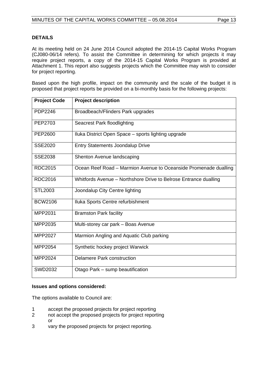# **DETAILS**

At its meeting held on 24 June 2014 Council adopted the 2014-15 Capital Works Program (CJ080-06/14 refers). To assist the Committee in determining for which projects it may require project reports, a copy of the 2014-15 Capital Works Program is provided at Attachment 1. This report also suggests projects which the Committee may wish to consider for project reporting.

Based upon the high profile, impact on the community and the scale of the budget it is proposed that project reports be provided on a bi-monthly basis for the following projects:

| <b>Project Code</b> | <b>Project description</b>                                       |
|---------------------|------------------------------------------------------------------|
| <b>PDP2246</b>      | Broadbeach/Flinders Park upgrades                                |
| PEP2703             | <b>Seacrest Park floodlighting</b>                               |
| PEP2600             | Iluka District Open Space – sports lighting upgrade              |
| <b>SSE2020</b>      | <b>Entry Statements Joondalup Drive</b>                          |
| <b>SSE2038</b>      | Shenton Avenue landscaping                                       |
| <b>RDC2015</b>      | Ocean Reef Road - Marmion Avenue to Oceanside Promenade dualling |
| <b>RDC2016</b>      | Whitfords Avenue - Northshore Drive to Belrose Entrance dualling |
| <b>STL2003</b>      | Joondalup City Centre lighting                                   |
| <b>BCW2106</b>      | Iluka Sports Centre refurbishment                                |
| MPP2031             | <b>Bramston Park facility</b>                                    |
| MPP2035             | Multi-storey car park - Boas Avenue                              |
| MPP2027             | Marmion Angling and Aquatic Club parking                         |
| MPP2054             | Synthetic hockey project Warwick                                 |
| MPP2024             | Delamere Park construction                                       |
| <b>SWD2032</b>      | Otago Park - sump beautification                                 |

# **Issues and options considered:**

The options available to Council are:

- 1 accept the proposed projects for project reporting
- 2 not accept the proposed projects for project reporting or
- 3 vary the proposed projects for project reporting.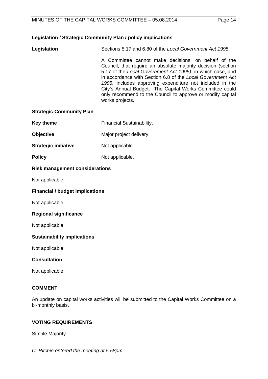# **Legislation / Strategic Community Plan / policy implications**

**Legislation** Sections 5.17 and 6.80 of the *Local Government Act 1995.*

A Committee cannot make decisions, on behalf of the Council, that require an absolute majority decision (section 5.17 of the *Local Government Act 1995)*, in which case, and in accordance with Section 6.8 of the *Local Government Act 1995,* includes approving expenditure not included in the City's Annual Budget. The Capital Works Committee could only recommend to the Council to approve or modify capital works projects.

#### **Strategic Community Plan**

- **Key theme** Financial Sustainability.
- **Objective** Major project delivery.
- **Strategic initiative** Not applicable.
- **Policy** Not applicable.

# **Risk management considerations**

Not applicable.

### **Financial / budget implications**

Not applicable.

#### **Regional significance**

Not applicable.

#### **Sustainability implications**

Not applicable.

# **Consultation**

Not applicable.

# **COMMENT**

An update on capital works activities will be submitted to the Capital Works Committee on a bi-monthly basis.

# **VOTING REQUIREMENTS**

Simple Majority.

*Cr Ritchie entered the meeting at 5.58pm.*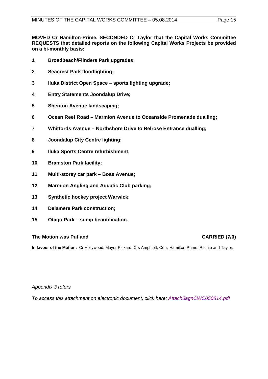**MOVED Cr Hamilton-Prime, SECONDED Cr Taylor that the Capital Works Committee REQUESTS that detailed reports on the following Capital Works Projects be provided on a bi-monthly basis:**

- **Broadbeach/Flinders Park upgrades;**
- **Seacrest Park floodlighting;**
- **Iluka District Open Space – sports lighting upgrade;**
- **Entry Statements Joondalup Drive;**
- **Shenton Avenue landscaping;**
- **Ocean Reef Road – Marmion Avenue to Oceanside Promenade dualling;**
- **Whitfords Avenue – Northshore Drive to Belrose Entrance dualling;**
- **Joondalup City Centre lighting;**
- **Iluka Sports Centre refurbishment;**
- **Bramston Park facility;**
- **Multi-storey car park – Boas Avenue;**
- **Marmion Angling and Aquatic Club parking;**
- **Synthetic hockey project Warwick;**
- **Delamere Park construction;**
- **Otago Park – sump beautification.**

# **The Motion was Put and CARRIED (7/0)**

**In favour of the Motion:** Cr Hollywood, Mayor Pickard, Crs Amphlett, Corr, Hamilton-Prime, Ritchie and Taylor.

# *Appendix 3 refers*

*[To access this attachment on electronic document, click here: Attach3agnCWC050814.pdf](http://www.joondalup.wa.gov.au/files/committees/CWOC/2014/Attach3agnCWC050814.pdf)*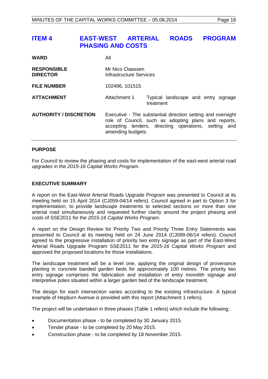# <span id="page-15-0"></span>**ITEM 4 EAST-WEST ARTERIAL ROADS PROGRAM PHASING AND COSTS**

| <b>WARD</b>                           | All                                                                                                                                                                                              |           |                                     |
|---------------------------------------|--------------------------------------------------------------------------------------------------------------------------------------------------------------------------------------------------|-----------|-------------------------------------|
| <b>RESPONSIBLE</b><br><b>DIRECTOR</b> | Mr Nico Claassen<br>Infrastructure Services                                                                                                                                                      |           |                                     |
| <b>FILE NUMBER</b>                    | 102496, 101515                                                                                                                                                                                   |           |                                     |
| <b>ATTACHMENT</b>                     | Attachment 1                                                                                                                                                                                     | treatment | Typical landscape and entry signage |
| <b>AUTHORITY / DISCRETION</b>         | Executive - The substantial direction setting and oversight<br>role of Council, such as adopting plans and reports,<br>accepting tenders, directing operations, setting and<br>amending budgets. |           |                                     |

#### **PURPOSE**

For Council to review the phasing and costs for implementation of the east-west arterial road upgrades in the *2015-16 Capital Works Program*.

#### **EXECUTIVE SUMMARY**

A report on the East-West Arterial Roads Upgrade Program was presented to Council at its meeting held on 15 April 2014 (CJ059-04/14 refers). Council agreed in part to Option 3 for implementation, to provide landscape treatments to selected sections on more than one arterial road simultaneously and requested further clarity around the project phasing and costs of SSE2011 for the *2015-16 Capital Works Program*.

A report on the Design Review for Priority Two and Priority Three Entry Statements was presented to Council at its meeting held on 24 June 2014 (CJ099-06/14 refers). Council agreed to the progressive installation of priority two entry signage as part of the East-West Arterial Roads Upgrade Program SSE2011 for the *2015-16 Capital Works Program* and approved the proposed locations for those installations.

The landscape treatment will be a level one, applying the original design of provenance planting in concrete banded garden beds for approximately 100 metres. The priority two entry signage comprises the fabrication and installation of entry monolith signage and interpretive poles situated within a larger garden bed of the landscape treatment.

The design for each intersection varies according to the existing infrastructure. A typical example of Hepburn Avenue is provided with this report (Attachment 1 refers).

The project will be undertaken in three phases (Table 1 refers) which include the following:

- Documentation phase to be completed by 30 January 2015.
- Tender phase to be completed by 20 May 2015.
- Construction phase to be completed by 18 November 2015.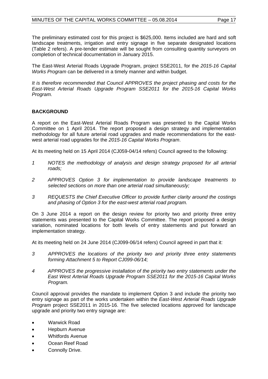The preliminary estimated cost for this project is \$625,000. Items included are hard and soft landscape treatments, irrigation and entry signage in five separate designated locations (Table 2 refers). A pre-tender estimate will be sought from consulting quantity surveyors on completion of technical documentation in January 2015.

The East-West Arterial Roads Upgrade Program, project SSE2011, for the *2015-16 Capital Works Program* can be delivered in a timely manner and within budget.

*It is therefore recommended that Council APPROVES the project phasing and costs for the East-West Arterial Roads Upgrade Program SSE2011 for the 2015-16 Capital Works Program.*

# **BACKGROUND**

A report on the East-West Arterial Roads Program was presented to the Capital Works Committee on 1 April 2014. The report proposed a design strategy and implementation methodology for all future arterial road upgrades and made recommendations for the eastwest arterial road upgrades for the *2015-16 Capital Works Program*.

At its meeting held on 15 April 2014 (CJ059-04/14 refers) Council agreed to the following:

- *1 NOTES the methodology of analysis and design strategy proposed for all arterial roads;*
- *2 APPROVES Option 3 for implementation to provide landscape treatments to selected sections on more than one arterial road simultaneously;*
- *3 REQUESTS the Chief Executive Officer to provide further clarity around the costings and phasing of Option 3 for the east-west arterial road program.*

On 3 June 2014 a report on the design review for priority two and priority three entry statements was presented to the Capital Works Committee. The report proposed a design variation, nominated locations for both levels of entry statements and put forward an implementation strategy.

At its meeting held on 24 June 2014 (CJ099-06/14 refers) Council agreed in part that it:

- *3 APPROVES the locations of the priority two and priority three entry statements forming Attachment 5 to Report CJ099-06/14;*
- *4 APPROVES the progressive installation of the priority two entry statements under the East West Arterial Roads Upgrade Program SSE2011 for the 2015-16 Capital Works Program.*

Council approval provides the mandate to implement Option 3 and include the priority two entry signage as part of the works undertaken within the *East-West Arterial Roads Upgrade Program* project SSE2011 in 2015-16. The five selected locations approved for landscape upgrade and priority two entry signage are:

- Warwick Road
- Hepburn Avenue
- Whitfords Avenue
- Ocean Reef Road
- Connolly Drive.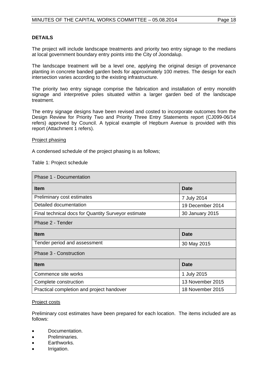### **DETAILS**

The project will include landscape treatments and priority two entry signage to the medians at local government boundary entry points into the City of Joondalup.

The landscape treatment will be a level one, applying the original design of provenance planting in concrete banded garden beds for approximately 100 metres. The design for each intersection varies according to the existing infrastructure.

The priority two entry signage comprise the fabrication and installation of entry monolith signage and interpretive poles situated within a larger garden bed of the landscape treatment.

The entry signage designs have been revised and costed to incorporate outcomes from the Design Review for Priority Two and Priority Three Entry Statements report (CJ099-06/14 refers) approved by Council. A typical example of Hepburn Avenue is provided with this report (Attachment 1 refers).

#### Project phasing

A condensed schedule of the project phasing is as follows;

Table 1: Project schedule

| Phase 1 - Documentation                             |                  |  |  |
|-----------------------------------------------------|------------------|--|--|
| <b>Item</b>                                         | <b>Date</b>      |  |  |
| Preliminary cost estimates                          | 7 July 2014      |  |  |
| Detailed documentation                              | 19 December 2014 |  |  |
| Final technical docs for Quantity Surveyor estimate | 30 January 2015  |  |  |
| Phase 2 - Tender                                    |                  |  |  |
| <b>Item</b>                                         | Date             |  |  |
| Tender period and assessment                        | 30 May 2015      |  |  |
| Phase 3 - Construction                              |                  |  |  |
| <b>Item</b>                                         | Date             |  |  |
| Commence site works                                 | 1 July 2015      |  |  |
| Complete construction                               | 13 November 2015 |  |  |
| Practical completion and project handover           | 18 November 2015 |  |  |

#### Project costs

Preliminary cost estimates have been prepared for each location. The items included are as follows:

- Documentation.
- Preliminaries.
- Earthworks.
- Irrigation.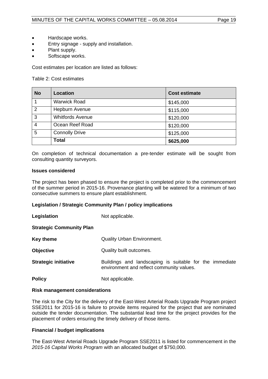- Hardscape works.
- Entry signage supply and installation.
- Plant supply.
- Softscape works.

Cost estimates per location are listed as follows:

Table 2: Cost estimates

| <b>No</b>      | <b>Location</b>         | <b>Cost estimate</b> |
|----------------|-------------------------|----------------------|
|                | <b>Warwick Road</b>     | \$145,000            |
| $\overline{2}$ | Hepburn Avenue          | \$115,000            |
| 3              | <b>Whitfords Avenue</b> | \$120,000            |
| $\overline{4}$ | Ocean Reef Road         | \$120,000            |
| 5              | <b>Connolly Drive</b>   | \$125,000            |
|                | <b>Total</b>            | \$625,000            |

On completion of technical documentation a pre-tender estimate will be sought from consulting quantity surveyors.

#### **Issues considered**

The project has been phased to ensure the project is completed prior to the commencement of the summer period in 2015-16. Provenance planting will be watered for a minimum of two consecutive summers to ensure plant establishment.

# **Legislation / Strategic Community Plan / policy implications**

**Legislation** Not applicable.

# **Strategic Community Plan**

| Key theme                   | Quality Urban Environment.                                                                           |
|-----------------------------|------------------------------------------------------------------------------------------------------|
| <b>Objective</b>            | Quality built outcomes.                                                                              |
| <b>Strategic initiative</b> | Buildings and landscaping is suitable for the immediate<br>environment and reflect community values. |
| <b>Policy</b>               | Not applicable.                                                                                      |

#### **Risk management considerations**

The risk to the City for the delivery of the East-West Arterial Roads Upgrade Program project SSE2011 for 2015-16 is failure to provide items required for the project that are nominated outside the tender documentation. The substantial lead time for the project provides for the placement of orders ensuring the timely delivery of those items.

# **Financial / budget implications**

The East-West Arterial Roads Upgrade Program SSE2011 is listed for commencement in the *2015-16 Capital Works Program* with an allocated budget of \$750,000.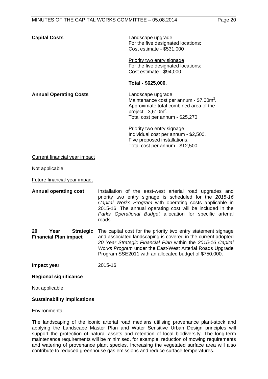**Capital Costs** Landscape upgrade For the five designated locations: Cost estimate - \$531,000

> For the five designated locations: Priority two entry signage Cost estimate - \$94,000

#### **Total - \$625,000.**

Maintenance cost per annum -  $$7.00m<sup>2</sup>$ . Landscape upgrade Approximate total combined area of the project -  $3,610$ m<sup>2</sup>.

Total cost per annum - \$25,270.

Individual cost per annum - \$2,500. Priority two entry signage Five proposed installations. Total cost per annum - \$12,500.

Current financial year impact

**Annual Operating Costs** 

Not applicable.

Future financial year impact

**Annual operating cost** Installation of the east-west arterial road upgrades and priority two entry signage is scheduled for the *2015-16 Capital Works Program* with operating costs applicable in 2015-16. The annual operating cost will be included in the *Parks Operational Budget* allocation for specific arterial roads.

**20 Year Strategic Financial Plan impact**  The capital cost for the priority two entry statement signage and associated landscaping is covered in the current adopted *20 Year Strategic Financial Plan* within the *2015-16 Capital Works Program* under the East-West Arterial Roads Upgrade Program SSE2011 with an allocated budget of \$750,000.

**Impact year** 2015-16.

# **Regional significance**

Not applicable.

# **Sustainability implications**

# **Environmental**

The landscaping of the iconic arterial road medians utilising provenance plant-stock and applying the Landscape Master Plan and Water Sensitive Urban Design principles will support the protection of natural assets and retention of local biodiversity. The long-term maintenance requirements will be minimised, for example, reduction of mowing requirements and watering of provenance plant species. Increasing the vegetated surface area will also contribute to reduced greenhouse gas emissions and reduce surface temperatures.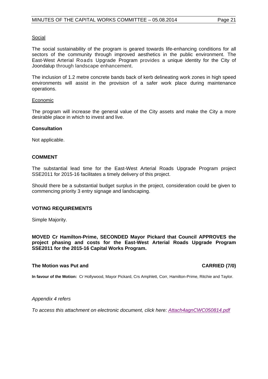#### Social

The social sustainability of the program is geared towards life-enhancing conditions for all sectors of the community through improved aesthetics in the public environment. The East-West Arterial Roads Upgrade Program provides a unique identity for the City of Joondalup through landscape enhancement.

The inclusion of 1.2 metre concrete bands back of kerb delineating work zones in high speed environments will assist in the provision of a safer work place during maintenance operations.

#### **Economic**

The program will increase the general value of the City assets and make the City a more desirable place in which to invest and live.

#### **Consultation**

Not applicable.

#### **COMMENT**

The substantial lead time for the East-West Arterial Roads Upgrade Program project SSE2011 for 2015-16 facilitates a timely delivery of this project.

Should there be a substantial budget surplus in the project, consideration could be given to commencing priority 3 entry signage and landscaping.

#### **VOTING REQUIREMENTS**

Simple Majority.

**MOVED Cr Hamilton-Prime, SECONDED Mayor Pickard that Council APPROVES the project phasing and costs for the East-West Arterial Roads Upgrade Program SSE2011 for the 2015-16 Capital Works Program.**

#### **The Motion was Put and CARRIED (7/0)**

**In favour of the Motion:** Cr Hollywood, Mayor Pickard, Crs Amphlett, Corr, Hamilton-Prime, Ritchie and Taylor.

#### *Appendix 4 refers*

*[To access this attachment on electronic document, click here: Attach4agnCWC050814.pdf](http://www.joondalup.wa.gov.au/files/committees/CWOC/2014/Attach4agnCWC050814.pdf)*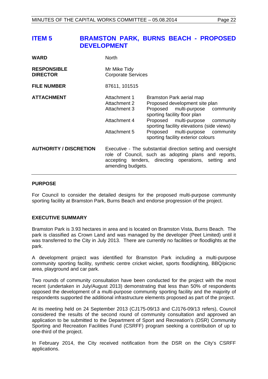# <span id="page-21-0"></span>**ITEM 5 BRAMSTON PARK, BURNS BEACH - PROPOSED DEVELOPMENT**

| <b>WARD</b>                           | <b>North</b>                                                                                                                                                                                     |                                                                                                                                                                                                                                                                                           |  |
|---------------------------------------|--------------------------------------------------------------------------------------------------------------------------------------------------------------------------------------------------|-------------------------------------------------------------------------------------------------------------------------------------------------------------------------------------------------------------------------------------------------------------------------------------------|--|
| <b>RESPONSIBLE</b><br><b>DIRECTOR</b> | Mr Mike Tidy<br><b>Corporate Services</b>                                                                                                                                                        |                                                                                                                                                                                                                                                                                           |  |
| <b>FILE NUMBER</b>                    | 87611, 101515                                                                                                                                                                                    |                                                                                                                                                                                                                                                                                           |  |
| <b>ATTACHMENT</b>                     | Attachment 1<br>Attachment 2<br>Attachment 3<br>Attachment 4<br>Attachment 5                                                                                                                     | Bramston Park aerial map<br>Proposed development site plan<br>Proposed multi-purpose community<br>sporting facility floor plan<br>Proposed multi-purpose community<br>sporting facility elevations (side views)<br>Proposed multi-purpose community<br>sporting facility exterior colours |  |
| <b>AUTHORITY / DISCRETION</b>         | Executive - The substantial direction setting and oversight<br>role of Council, such as adopting plans and reports,<br>accepting tenders, directing operations, setting and<br>amending budgets. |                                                                                                                                                                                                                                                                                           |  |

#### **PURPOSE**

For Council to consider the detailed designs for the proposed multi-purpose community sporting facility at Bramston Park, Burns Beach and endorse progression of the project.

# **EXECUTIVE SUMMARY**

Bramston Park is 3.93 hectares in area and is located on Bramston Vista, Burns Beach. The park is classified as Crown Land and was managed by the developer (Peet Limited) until it was transferred to the City in July 2013. There are currently no facilities or floodlights at the park.

A development project was identified for Bramston Park including a multi-purpose community sporting facility, synthetic centre cricket wicket, sports floodlighting, BBQ/picnic area, playground and car park.

Two rounds of community consultation have been conducted for the project with the most recent (undertaken in July/August 2013) demonstrating that less than 50% of respondents opposed the development of a multi-purpose community sporting facility and the majority of respondents supported the additional infrastructure elements proposed as part of the project.

At its meeting held on 24 September 2013 (CJ175-09/13 and CJ176-09/13 refers), Council considered the results of the second round of community consultation and approved an application to be submitted to the Department of Sport and Recreation's (DSR) Community Sporting and Recreation Facilities Fund (CSRFF) program seeking a contribution of up to one-third of the project.

In February 2014, the City received notification from the DSR on the City's CSRFF applications.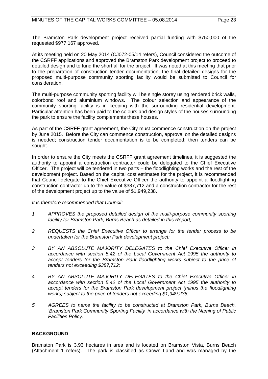The Bramston Park development project received partial funding with \$750,000 of the requested \$977,167 approved.

At its meeting held on 20 May 2014 (CJ072-05/14 refers), Council considered the outcome of the CSRFF applications and approved the Bramston Park development project to proceed to detailed design and to fund the shortfall for the project. It was noted at this meeting that prior to the preparation of construction tender documentation, the final detailed designs for the proposed multi-purpose community sporting facility would be submitted to Council for consideration.

The multi-purpose community sporting facility will be single storey using rendered brick walls, colorbond roof and aluminium windows. The colour selection and appearance of the community sporting facility is in keeping with the surrounding residential development. Particular attention has been paid to the colours and design styles of the houses surrounding the park to ensure the facility complements these houses.

As part of the CSRFF grant agreement, the City must commence construction on the project by June 2015. Before the City can commence construction, approval on the detailed designs is needed; construction tender documentation is to be completed; then tenders can be sought.

In order to ensure the City meets the CSRFF grant agreement timelines, it is suggested the authority to appoint a construction contractor could be delegated to the Chief Executive Officer. The project will be tendered in two parts – the floodlighting works and the rest of the development project. Based on the capital cost estimates for the project, it is recommended that Council delegate to the Chief Executive Officer the authority to appoint a floodlighting construction contractor up to the value of \$387,712 and a construction contractor for the rest of the development project up to the value of \$1,949,238.

#### *It is therefore recommended that Council:*

- *1 APPROVES the proposed detailed design of the multi-purpose community sporting facility for Bramston Park, Burns Beach as detailed in this Report;*
- *2 REQUESTS the Chief Executive Officer to arrange for the tender process to be undertaken for the Bramston Park development project;*
- *3 BY AN ABSOLUTE MAJORITY DELEGATES to the Chief Executive Officer in accordance with section 5.42 of the Local Government Act 1995 the authority to accept tenders for the Bramston Park floodlighting works subject to the price of tenders not exceeding \$387,712;*
- *4 BY AN ABSOLUTE MAJORITY DELEGATES to the Chief Executive Officer in accordance with section 5.42 of the Local Government Act 1995 the authority to*  accept tenders for the Bramston Park development project (minus the floodlighting *works) subject to the price of tenders not exceeding \$1,949,238;*
- *5 AGREES to name the facility to be constructed at Bramston Park, Burns Beach, 'Bramston Park Community Sporting Facility' in accordance with the Naming of Public Facilities Policy.*

# **BACKGROUND**

Bramston Park is 3.93 hectares in area and is located on Bramston Vista, Burns Beach (Attachment 1 refers). The park is classified as Crown Land and was managed by the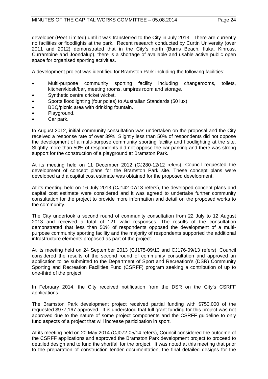developer (Peet Limited) until it was transferred to the City in July 2013. There are currently no facilities or floodlights at the park. Recent research conducted by Curtin University (over 2011 and 2012) demonstrated that in the City's north (Burns Beach, Iluka, Kinross, Currambine and Joondalup), there is a shortage of available and usable active public open space for organised sporting activities.

A development project was identified for Bramston Park including the following facilities:

- Multi-purpose community sporting facility including changerooms, toilets, kitchen/kiosk/bar, meeting rooms, umpires room and storage.
- Synthetic centre cricket wicket.
- Sports floodlighting (four poles) to Australian Standards (50 lux).
- BBQ/picnic area with drinking fountain.
- Playground.
- Car park.

In August 2012, initial community consultation was undertaken on the proposal and the City received a response rate of over 39%. Slightly less than 50% of respondents did not oppose the development of a multi-purpose community sporting facility and floodlighting at the site. Slightly more than 50% of respondents did not oppose the car parking and there was strong support for the construction of a playground at Bramston Park.

At its meeting held on 11 December 2012 (CJ280-12/12 refers), Council requested the development of concept plans for the Bramston Park site. These concept plans were developed and a capital cost estimate was obtained for the proposed development.

At its meeting held on 16 July 2013 (CJ142-07/13 refers), the developed concept plans and capital cost estimate were considered and it was agreed to undertake further community consultation for the project to provide more information and detail on the proposed works to the community.

The City undertook a second round of community consultation from 22 July to 12 August 2013 and received a total of 121 valid responses. The results of the consultation demonstrated that less than 50% of respondents opposed the development of a multipurpose community sporting facility and the majority of respondents supported the additional infrastructure elements proposed as part of the project.

At its meeting held on 24 September 2013 (CJ175-09/13 and CJ176-09/13 refers), Council considered the results of the second round of community consultation and approved an application to be submitted to the Department of Sport and Recreation's (DSR) Community Sporting and Recreation Facilities Fund (CSRFF) program seeking a contribution of up to one-third of the project.

In February 2014, the City received notification from the DSR on the City's CSRFF applications.

The Bramston Park development project received partial funding with \$750,000 of the requested \$977,167 approved. It is understood that full grant funding for this project was not approved due to the nature of some project components and the CSRFF guideline to only fund aspects of a project that will increase participation in sport.

At its meeting held on 20 May 2014 (CJ072-05/14 refers), Council considered the outcome of the CSRFF applications and approved the Bramston Park development project to proceed to detailed design and to fund the shortfall for the project. It was noted at this meeting that prior to the preparation of construction tender documentation, the final detailed designs for the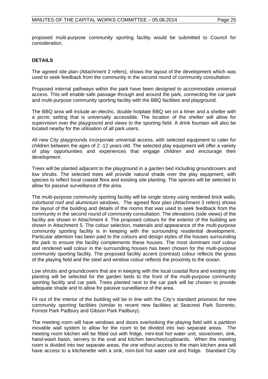proposed multi-purpose community sporting facility would be submitted to Council for consideration.

### **DETAILS**

The agreed site plan (Attachment 2 refers), shows the layout of the development which was used to seek feedback from the community in the second round of community consultation.

Proposed internal pathways within the park have been designed to accommodate universal access. This will enable safe passage through and around the park, connecting the car park and multi-purpose community sporting facility with the BBQ facilities and playground.

The BBQ area will include an electric, double hotplate BBQ set on a timer and a shelter with a picnic setting that is universally accessible. The location of the shelter will allow for supervision over the playground and views to the sporting field. A drink fountain will also be located nearby for the utilisation of all park users.

All new City playgrounds incorporate universal access, with selected equipment to cater for children between the ages of 2 -12 years old. The selected play equipment will offer a variety of play opportunities and experiences that engage children and encourage their development.

Trees will be planted adjacent to the playground in a garden bed including groundcovers and low shrubs. The selected trees will provide natural shade over the play equipment, with species to reflect local coastal flora and existing site planting. The species will be selected to allow for passive surveillance of the area.

The multi-purpose community sporting facility will be single storey using rendered brick walls. colorbond roof and aluminium windows. The agreed floor plan (Attachment 3 refers) shows the layout of the building and details of the rooms that was used to seek feedback from the community in the second round of community consultation. The elevations (side views) of the facility are shown in Attachment 4. The proposed colours for the exterior of the building are shown in Attachment 5. The colour selection, materials and appearance of the multi-purpose community sporting facility is in keeping with the surrounding residential development. Particular attention has been paid to the colours and design styles of the houses surrounding the park to ensure the facility complements these houses. The most dominant roof colour and rendered wall colour in the surrounding houses has been chosen for the multi-purpose community sporting facility. The proposed facility accent (contrast) colour reflects the grass of the playing field and the steel and window colour reflects the proximity to the ocean.

Low shrubs and groundcovers that are in keeping with the local coastal flora and existing site planting will be selected for the garden beds to the front of the multi-purpose community sporting facility and car park. Trees planted next to the car park will be chosen to provide adequate shade and to allow for passive surveillance of the area.

Fit out of the interior of the building will be in line with the City's standard provision for new community sporting facilities (similar to recent new facilities at Seacrest Park Sorrento, Forrest Park Padbury and Gibson Park Padbury).

The meeting room will have windows and doors overlooking the playing field with a partition movable wall system to allow for the room to be divided into two separate areas. The meeting room kitchen will be fitted out with fridge, mini-boil hot water unit, stove/oven, sink, hand-wash basin, servery to the oval and kitchen benches/cupboards. When the meeting room is divided into two separate areas, the one without access to the main kitchen area will have access to a kitchenette with a sink, mini-boil hot water unit and fridge. Standard City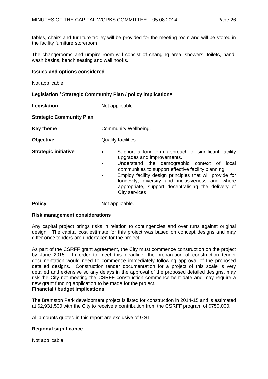tables, chairs and furniture trolley will be provided for the meeting room and will be stored in the facility furniture storeroom.

The changerooms and umpire room will consist of changing area, showers, toilets, handwash basins, bench seating and wall hooks.

### **Issues and options considered**

Not applicable.

# **Legislation / Strategic Community Plan / policy implications**

**Legislation** Not applicable.

**Strategic Community Plan**

**Key theme Community Wellbeing.** 

**Objective** Quality facilities.

- **Strategic initiative •** Support a long-term approach to significant facility upgrades and improvements.
	- Understand the demographic context of local communities to support effective facility planning.
	- Employ facility design principles that will provide for longevity, diversity and inclusiveness and where appropriate, support decentralising the delivery of City services.

**Policy** Not applicable.

# **Risk management considerations**

Any capital project brings risks in relation to contingencies and over runs against original design. The capital cost estimate for this project was based on concept designs and may differ once tenders are undertaken for the project.

As part of the CSRFF grant agreement, the City must commence construction on the project by June 2015. In order to meet this deadline, the preparation of construction tender documentation would need to commence immediately following approval of the proposed detailed designs. Construction tender documentation for a project of this scale is very detailed and extensive so any delays in the approval of the proposed detailed designs, may risk the City not meeting the CSRFF construction commencement date and may require a new grant funding application to be made for the project.

# **Financial / budget implications**

The Bramston Park development project is listed for construction in 2014-15 and is estimated at \$2,931,500 with the City to receive a contribution from the CSRFF program of \$750,000.

All amounts quoted in this report are exclusive of GST.

# **Regional significance**

Not applicable.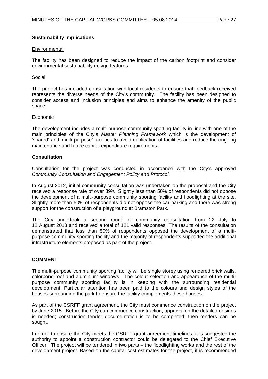#### **Sustainability implications**

#### **Environmental**

The facility has been designed to reduce the impact of the carbon footprint and consider environmental sustainability design features.

#### Social

The project has included consultation with local residents to ensure that feedback received represents the diverse needs of the City's community. The facility has been designed to consider access and inclusion principles and aims to enhance the amenity of the public space.

#### Economic

The development includes a multi-purpose community sporting facility in line with one of the main principles of the City's *Master Planning Framework* which is the development of 'shared' and 'multi-purpose' facilities to avoid duplication of facilities and reduce the ongoing maintenance and future capital expenditure requirements.

#### **Consultation**

Consultation for the project was conducted in accordance with the City's approved *Community Consultation and Engagement Policy and Protocol.*

In August 2012, initial community consultation was undertaken on the proposal and the City received a response rate of over 39%. Slightly less than 50% of respondents did not oppose the development of a multi-purpose community sporting facility and floodlighting at the site. Slightly more than 50% of respondents did not oppose the car parking and there was strong support for the construction of a playground at Bramston Park.

The City undertook a second round of community consultation from 22 July to 12 August 2013 and received a total of 121 valid responses. The results of the consultation demonstrated that less than 50% of respondents opposed the development of a multipurpose community sporting facility and the majority of respondents supported the additional infrastructure elements proposed as part of the project.

#### **COMMENT**

The multi-purpose community sporting facility will be single storey using rendered brick walls, colorbond roof and aluminium windows. The colour selection and appearance of the multipurpose community sporting facility is in keeping with the surrounding residential development. Particular attention has been paid to the colours and design styles of the houses surrounding the park to ensure the facility complements these houses.

As part of the CSRFF grant agreement, the City must commence construction on the project by June 2015. Before the City can commence construction, approval on the detailed designs is needed; construction tender documentation is to be completed; then tenders can be sought.

In order to ensure the City meets the CSRFF grant agreement timelines, it is suggested the authority to appoint a construction contractor could be delegated to the Chief Executive Officer. The project will be tendered in two parts – the floodlighting works and the rest of the development project. Based on the capital cost estimates for the project, it is recommended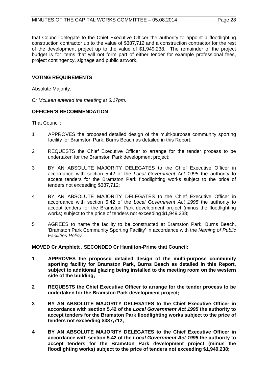that Council delegate to the Chief Executive Officer the authority to appoint a floodlighting construction contractor up to the value of \$387,712 and a construction contractor for the rest of the development project up to the value of \$1,949,238. The remainder of the project budget is for items that will not form part of either tender for example professional fees, project contingency, signage and public artwork.

#### **VOTING REQUIREMENTS**

Absolute Majority.

*Cr McLean entered the meeting at 6.17pm.*

### **OFFICER'S RECOMMENDATION**

That Council:

- 1 APPROVES the proposed detailed design of the multi-purpose community sporting facility for Bramston Park, Burns Beach as detailed in this Report;
- 2 REQUESTS the Chief Executive Officer to arrange for the tender process to be undertaken for the Bramston Park development project;
- 3 BY AN ABSOLUTE MAJORITY DELEGATES to the Chief Executive Officer in accordance with section 5.42 of the *Local Government Act 1995* the authority to accept tenders for the Bramston Park floodlighting works subject to the price of tenders not exceeding \$387,712;
- 4 BY AN ABSOLUTE MAJORITY DELEGATES to the Chief Executive Officer in accordance with section 5.42 of the *Local Government Act 1995* the authority to accept tenders for the Bramston Park development project (minus the floodlighting works) subject to the price of tenders not exceeding \$1,949,238;
- 5 AGREES to name the facility to be constructed at Bramston Park, Burns Beach, 'Bramston Park Community Sporting Facility' in accordance with the *Naming of Public Facilities Policy.*

**MOVED Cr Amphlett , SECONDED Cr Hamilton-Prime that Council:**

- **1 APPROVES the proposed detailed design of the multi-purpose community sporting facility for Bramston Park, Burns Beach as detailed in this Report, subject to additional glazing being installed to the meeting room on the western side of the building;**
- **2 REQUESTS the Chief Executive Officer to arrange for the tender process to be undertaken for the Bramston Park development project;**
- **3 BY AN ABSOLUTE MAJORITY DELEGATES to the Chief Executive Officer in accordance with section 5.42 of the** *Local Government Act 1995* **the authority to accept tenders for the Bramston Park floodlighting works subject to the price of tenders not exceeding \$387,712;**
- **4 BY AN ABSOLUTE MAJORITY DELEGATES to the Chief Executive Officer in accordance with section 5.42 of the** *Local Government Act 1995* **the authority to accept tenders for the Bramston Park development project (minus the floodlighting works) subject to the price of tenders not exceeding \$1,949,238;**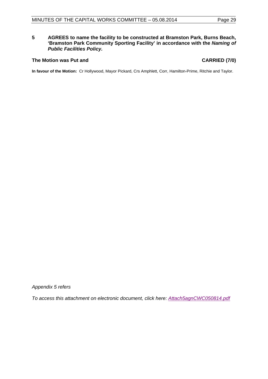# **5 AGREES to name the facility to be constructed at Bramston Park, Burns Beach, 'Bramston Park Community Sporting Facility' in accordance with the** *Naming of Public Facilities Policy.*

### **The Motion was Put and CARRIED (7/0)**

**In favour of the Motion:** Cr Hollywood, Mayor Pickard, Crs Amphlett, Corr, Hamilton-Prime, Ritchie and Taylor.

*Appendix 5 refers*

*[To access this attachment on electronic document, click here:](http://www.joondalup.wa.gov.au/files/committees/CWOC/2014/Attach5agnCWC050814.pdf) Attach5agnCWC050814.pdf*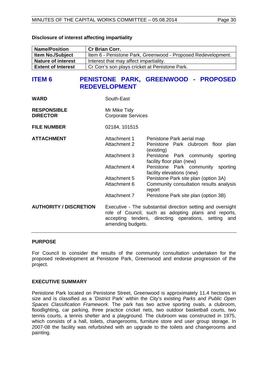| Disclosure of interest affecting impartiality |  |  |  |  |
|-----------------------------------------------|--|--|--|--|
|-----------------------------------------------|--|--|--|--|

| <b>Name/Position</b>      | <b>Cr Brian Corr.</b>                                        |
|---------------------------|--------------------------------------------------------------|
| <b>Item No./Subject</b>   | Item 6 - Penistone Park, Greenwood - Proposed Redevelopment. |
| <b>Nature of interest</b> | Interest that may affect impartiality.                       |
| <b>Extent of Interest</b> | Cr Corr's son plays cricket at Penistone Park.               |

# <span id="page-29-0"></span>**ITEM 6 PENISTONE PARK, GREENWOOD - PROPOSED REDEVELOPMENT**

| <b>WARD</b>                           | South-East                                                                                                                                                                                          |                                                                               |
|---------------------------------------|-----------------------------------------------------------------------------------------------------------------------------------------------------------------------------------------------------|-------------------------------------------------------------------------------|
| <b>RESPONSIBLE</b><br><b>DIRECTOR</b> | Mr Mike Tidy<br><b>Corporate Services</b>                                                                                                                                                           |                                                                               |
| <b>FILE NUMBER</b>                    | 02184, 101515                                                                                                                                                                                       |                                                                               |
| <b>ATTACHMENT</b>                     | Attachment 1<br>Attachment 2                                                                                                                                                                        | Penistone Park aerial map<br>Penistone Park clubroom floor plan<br>(existing) |
|                                       | Attachment 3                                                                                                                                                                                        | Penistone Park community<br>sporting<br>facility floor plan (new)             |
|                                       | Attachment 4                                                                                                                                                                                        | Penistone Park community<br>sporting<br>facility elevations (new)             |
|                                       | Attachment 5                                                                                                                                                                                        | Penistone Park site plan (option 3A)                                          |
|                                       | Attachment 6                                                                                                                                                                                        | Community consultation results analysis<br>report                             |
|                                       | Attachment 7                                                                                                                                                                                        | Penistone Park site plan (option 3B)                                          |
| <b>AUTHORITY / DISCRETION</b>         | Executive - The substantial direction setting and oversight<br>role of Council, such as adopting plans and reports,<br>accepting tenders, directing operations, setting<br>and<br>amending budgets. |                                                                               |

# **PURPOSE**

For Council to consider the results of the community consultation undertaken for the proposed redevelopment at Penistone Park, Greenwood and endorse progression of the project.

# **EXECUTIVE SUMMARY**

Penistone Park located on Penistone Street, Greenwood is approximately 11.4 hectares in size and is classified as a 'District Park' within the City's existing *Parks and Public Open Spaces Classification Framework.* The park has two active sporting ovals, a clubroom, floodlighting, car parking, three practice cricket nets, two outdoor basketball courts, two tennis courts, a tennis shelter and a playground. The clubroom was constructed in 1975, which consists of a hall, toilets, changerooms, furniture store and user group storage. In 2007-08 the facility was refurbished with an upgrade to the toilets and changerooms and painting.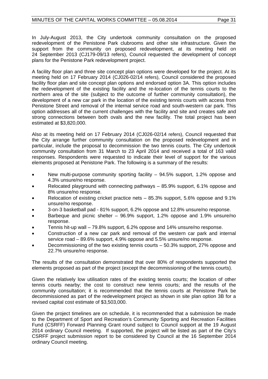In July-August 2013, the City undertook community consultation on the proposed redevelopment of the Penistone Park clubrooms and other site infrastructure. Given the support from the community on proposed redevelopment, at its meeting held on 24 September 2013 (CJ179-09/13 refers), Council requested the development of concept plans for the Penistone Park redevelopment project.

A facility floor plan and three site concept plan options were developed for the project. At its meeting held on 17 February 2014 (CJ026-02/14 refers), Council considered the proposed facility floor plan and site concept plan options and endorsed option 3A. This option includes the redevelopment of the existing facility and the re-location of the tennis courts to the northern area of the site (subject to the outcome of further community consultation), the development of a new car park in the location of the existing tennis courts with access from Penistone Street and removal of the internal service road and south-western car park. This option addresses all of the current challenges with the facility and site and creates safe and strong connections between both ovals and the new facility. The total project has been estimated at \$3,820,000.

Also at its meeting held on 17 February 2014 (CJ026-02/14 refers), Council requested that the City arrange further community consultation on the proposed redevelopment and in particular, include the proposal to decommission the two tennis courts. The City undertook community consultation from 31 March to 23 April 2014 and received a total of 163 valid responses. Respondents were requested to indicate their level of support for the various elements proposed at Penistone Park. The following is a summary of the results:

- New multi-purpose community sporting facility 94.5% support, 1.2% oppose and 4.3% unsure/no response.
- Relocated playground with connecting pathways 85.9% support, 6.1% oppose and 8% unsure/no response.
- Relocation of existing cricket practice nets 85.3% support, 5.6% oppose and 9.1% unsure/no response.
- 3-on-3 basketball pad 81% support, 6.2% oppose and 12.8% unsure/no response.
- Barbeque and picnic shelter 96.9% support, 1.2% oppose and 1.9% unsure/no response.
- Tennis hit-up wall 79.8% support, 6.2% oppose and 14% unsure/no response.
- Construction of a new car park and removal of the western car park and internal service road – 89.6% support, 4.9% oppose and 5.5% unsure/no response.
- Decommissioning of the two existing tennis courts 50.3% support, 27% oppose and 22.7% unsure/no response.

The results of the consultation demonstrated that over 80% of respondents supported the elements proposed as part of the project (except the decommissioning of the tennis courts).

Given the relatively low utilisation rates of the existing tennis courts; the location of other tennis courts nearby; the cost to construct new tennis courts; and the results of the community consultation; it is recommended that the tennis courts at Penistone Park be decommissioned as part of the redevelopment project as shown in site plan option 3B for a revised capital cost estimate of \$3,503,000.

Given the project timelines are on schedule, it is recommended that a submission be made to the Department of Sport and Recreation's Community Sporting and Recreation Facilities Fund (CSRFF) Forward Planning Grant round subject to Council support at the 19 August 2014 ordinary Council meeting. If supported, the project will be listed as part of the City's CSRFF project submission report to be considered by Council at the 16 September 2014 ordinary Council meeting.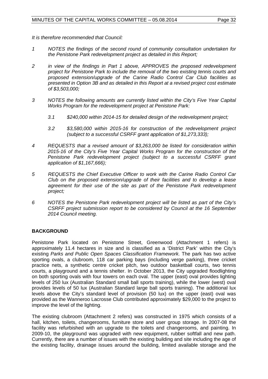*It is therefore recommended that Council:*

- *1 NOTES the findings of the second round of community consultation undertaken for the Penistone Park redevelopment project as detailed in this Report;*
- *2 in view of the findings in Part 1 above, APPROVES the proposed redevelopment project for Penistone Park to include the removal of the two existing tennis courts and proposed extension/upgrade of the Carine Radio Control Car Club facilities as presented in Option 3B and as detailed in this Report at a revised project cost estimate of \$3,503,000;*
- *3 NOTES the following amounts are currently listed within the City's Five Year Capital Works Program for the redevelopment project at Penistone Park:*
	- *3.1 \$240,000 within 2014-15 for detailed design of the redevelopment project;*
	- *3.2 \$3,580,000 within 2015-16 for construction of the redevelopment project (subject to a successful CSRFF grant application of \$1,273,333);*
- *4 REQUESTS that a revised amount of \$3,263,000 be listed for consideration within 2015-16 of the City's Five Year Capital Works Program for the construction of the Penistone Park redevelopment project (subject to a successful CSRFF grant application of \$1,167,666);*
- *5 REQUESTS the Chief Executive Officer to work with the Carine Radio Control Car Club on the proposed extension/upgrade of their facilities and to develop a lease agreement for their use of the site as part of the Penistone Park redevelopment project;*
- *6 NOTES the Penistone Park redevelopment project will be listed as part of the City's CSRFF project submission report to be considered by Council at the 16 September 2014 Council meeting.*

# **BACKGROUND**

Penistone Park located on Penistone Street, Greenwood (Attachment 1 refers) is approximately 11.4 hectares in size and is classified as a 'District Park' within the City's existing *Parks and Public Open Spaces Classification Framework.* The park has two active sporting ovals, a clubroom, 118 car parking bays (including verge parking), three cricket practice nets, a synthetic centre cricket pitch, two outdoor basketball courts, two tennis courts, a playground and a tennis shelter. In October 2013, the City upgraded floodlighting on both sporting ovals with four towers on each oval. The upper (east) oval provides lighting levels of 250 lux (Australian Standard small ball sports training), while the lower (west) oval provides levels of 50 lux (Australian Standard large ball sports training). The additional lux levels above the City's standard level of provision (50 lux) on the upper (east) oval was provided as the Wanneroo Lacrosse Club contributed approximately \$29,000 to the project to improve the level of the lighting.

The existing clubroom (Attachment 2 refers) was constructed in 1975 which consists of a hall, kitchen, toilets, changerooms, furniture store and user group storage. In 2007-08 the facility was refurbished with an upgrade to the toilets and changerooms, and painting. In 2009-10, the playground was upgraded with new equipment, rubber softfall and new path. Currently, there are a number of issues with the existing building and site including the age of the existing facility, drainage issues around the building, limited available storage and the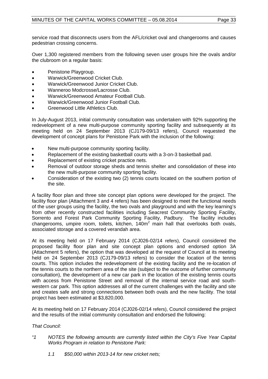service road that disconnects users from the AFL/cricket oval and changerooms and causes pedestrian crossing concerns.

Over 1,300 registered members from the following seven user groups hire the ovals and/or the clubroom on a regular basis:

- Penistone Playgroup.
- Warwick/Greenwood Cricket Club.
- Warwick/Greenwood Junior Cricket Club.
- Wanneroo Modcrosse/Lacrosse Club.
- Warwick/Greenwood Amateur Football Club.
- Warwick/Greenwood Junior Football Club.
- Greenwood Little Athletics Club.

In July-August 2013, initial community consultation was undertaken with 92% supporting the redevelopment of a new multi-purpose community sporting facility and subsequently at its meeting held on 24 September 2013 (CJ179-09/13 refers), Council requested the development of concept plans for Penistone Park with the inclusion of the following:

- New multi-purpose community sporting facility.
- Replacement of the existing basketball courts with a 3-on-3 basketball pad.
- Replacement of existing cricket practice nets.
- Removal of outdoor storage sheds and tennis shelter and consolidation of these into the new multi-purpose community sporting facility.
- Consideration of the existing two (2) tennis courts located on the southern portion of the site.

A facility floor plan and three site concept plan options were developed for the project. The facility floor plan (Attachment 3 and 4 refers) has been designed to meet the functional needs of the user groups using the facility, the two ovals and playground and with the key learning's from other recently constructed facilities including Seacrest Community Sporting Facility, Sorrento and Forest Park Community Sporting Facility, Padbury. The facility includes changerooms, umpire room, toilets, kitchen,  $140m<sup>2</sup>$  main hall that overlooks both ovals, associated storage and a covered verandah area.

At its meeting held on 17 February 2014 (CJ026-02/14 refers), Council considered the proposed facility floor plan and site concept plan options and endorsed option 3A (Attachment 5 refers), the option that was developed at the request of Council at its meeting held on 24 September 2013 (CJ179-09/13 refers) to consider the location of the tennis courts. This option includes the redevelopment of the existing facility and the re-location of the tennis courts to the northern area of the site (subject to the outcome of further community consultation), the development of a new car park in the location of the existing tennis courts with access from Penistone Street and removal of the internal service road and southwestern car park. This option addresses all of the current challenges with the facility and site and creates safe and strong connections between both ovals and the new facility. The total project has been estimated at \$3,820,000.

At its meeting held on 17 February 2014 (CJ026-02/14 refers), Council considered the project and the results of the initial community consultation and endorsed the following:

# *That Council:*

- *"1 NOTES the following amounts are currently listed within the City's Five Year Capital Works Program in relation to Penistone Park:*
	- *1.1 \$50,000 within 2013-14 for new cricket nets;*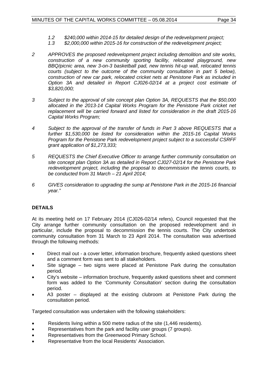- *1.2 \$240,000 within 2014-15 for detailed design of the redevelopment project;*
- *1.3 \$2,000,000 within 2015-16 for construction of the redevelopment project;*
- *2 APPROVES the proposed redevelopment project including demolition and site works, construction of a new community sporting facility, relocated playground, new BBQ/picnic area, new 3-on-3 basketball pad, new tennis hit-up wall, relocated tennis courts (subject to the outcome of the community consultation in part 5 below), construction of new car park, relocated cricket nets at Penistone Park as included in Option 3A and detailed in Report CJ026-02/14 at a project cost estimate of \$3,820,000;*
- *3 Subject to the approval of site concept plan Option 3A, REQUESTS that the \$50,000 allocated in the 2013-14 Capital Works Program for the Penistone Park cricket net replacement will be carried forward and listed for consideration in the draft 2015-16 Capital Works Program;*
- *4 Subject to the approval of the transfer of funds in Part 3 above REQUESTS that a further \$1,530,000 be listed for consideration within the 2015-16 Capital Works Program for the Penistone Park redevelopment project subject to a successful CSRFF grant application of \$1,273,333;*
- *5 REQUESTS the Chief Executive Officer to arrange further community consultation on site concept plan Option 3A as detailed in Report CJ027-02/14 for the Penistone Park redevelopment project, including the proposal to decommission the tennis courts, to be conducted from 31 March – 21 April 2014;*
- *6 GIVES consideration to upgrading the sump at Penistone Park in the 2015-16 financial year."*

# **DETAILS**

At its meeting held on 17 February 2014 (CJ026-02/14 refers), Council requested that the City arrange further community consultation on the proposed redevelopment and in particular, include the proposal to decommission the tennis courts. The City undertook community consultation from 31 March to 23 April 2014. The consultation was advertised through the following methods:

- Direct mail out a cover letter, information brochure, frequently asked questions sheet and a comment form was sent to all stakeholders.
- Site signage two signs were placed at Penistone Park during the consultation period.
- City's website information brochure, frequently asked questions sheet and comment form was added to the 'Community Consultation' section during the consultation period.
- A3 poster displayed at the existing clubroom at Penistone Park during the consultation period.

Targeted consultation was undertaken with the following stakeholders:

- Residents living within a 500 metre radius of the site (1,446 residents).
- Representatives from the park and facility user groups (7 groups).
- Representatives from the Greenwood Primary School.
- Representative from the local Residents' Association.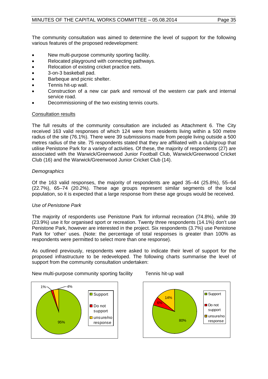The community consultation was aimed to determine the level of support for the following various features of the proposed redevelopment:

- New multi-purpose community sporting facility.
- Relocated playground with connecting pathways.
- Relocation of existing cricket practice nets.
- 3-on-3 baskeball pad.
- Barbeque and picnic shelter.
- Tennis hit-up wall.
- Construction of a new car park and removal of the western car park and internal service road.
- Decommissioning of the two existing tennis courts.

# Consultation results

The full results of the community consultation are included as Attachment 6. The City received 163 valid responses of which 124 were from residents living within a 500 metre radius of the site (76.1%). There were 39 submissions made from people living outside a 500 metres radius of the site. 75 respondents stated that they are affiliated with a club/group that utilise Penistone Park for a variety of activities. Of these, the majority of respondents (27) are associated with the Warwick/Greenwood Junior Football Club, Warwick/Greenwood Cricket Club (16) and the Warwick/Greenwood Junior Cricket Club (14).

# *Demographics*

Of the 163 valid responses, the majority of respondents are aged 35–44 (25.8%), 55–64 (22.7%), 65–74 (20.2%). These age groups represent similar segments of the local population, so it is expected that a large response from these age groups would be received.

# *Use of Penistone Park*

The majority of respondents use Penistone Park for informal recreation (74.8%), while 39 (23.9%) use it for organised sport or recreation. Twenty three respondents (14.1%) don't use Penistone Park, however are interested in the project. Six respondents (3.7%) use Penistone Park for 'other' uses. (Note: the percentage of total responses is greater than 100% as respondents were permitted to select more than one response).

As outlined previously, respondents were asked to indicate their level of support for the proposed infrastructure to be redeveloped. The following charts summarise the level of support from the community consultation undertaken:

New multi-purpose community sporting facility Tennis hit-up wall



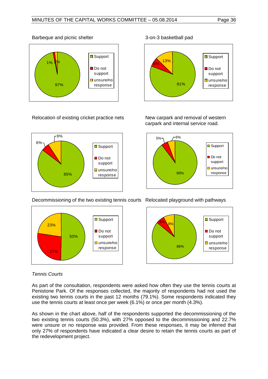

# Barbeque and picnic shelter 3-on-3 basketball pad

Relocation of existing cricket practice nets New carpark and removal of western





carpark and internal service road.



Decommissioning of the two existing tennis courts Relocated playground with pathways





# *Tennis Courts*

As part of the consultation, respondents were asked how often they use the tennis courts at Penistone Park. Of the responses collected, the majority of respondents had not used the existing two tennis courts in the past 12 months (79.1%). Some respondents indicated they use the tennis courts at least once per week (6.1%) or once per month (4.3%).

As shown in the chart above, half of the respondents supported the decommissioning of the two existing tennis courts (50.3%), with 27% opposed to the decommissioning and 22.7% were unsure or no response was provided. From these responses, it may be inferred that only 27% of respondents have indicated a clear desire to retain the tennis courts as part of the redevelopment project.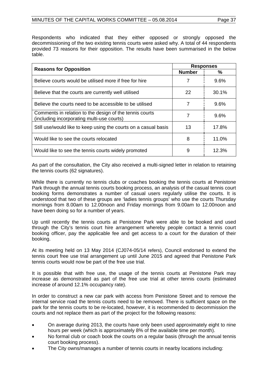Respondents who indicated that they either opposed or strongly opposed the decommissioning of the two existing tennis courts were asked why. A total of 44 respondents provided 73 reasons for their opposition. The results have been summarised in the below table.

|                                                                                                       | <b>Responses</b> |         |
|-------------------------------------------------------------------------------------------------------|------------------|---------|
| <b>Reasons for Opposition</b>                                                                         | <b>Number</b>    | ℅       |
| Believe courts would be utilised more if free for hire                                                | 7                | $9.6\%$ |
| Believe that the courts are currently well utilised                                                   | 22               | 30.1%   |
| Believe the courts need to be accessible to be utilised                                               | 7                | 9.6%    |
| Comments in relation to the design of the tennis courts<br>(including incorporating multi-use courts) | 7                | 9.6%    |
| Still use/would like to keep using the courts on a casual basis                                       | 13               | 17.8%   |
| Would like to see the courts relocated                                                                | 8                | 11.0%   |
| Would like to see the tennis courts widely promoted                                                   | 9                | 12.3%   |

As part of the consultation, the City also received a multi-signed letter in relation to retaining the tennis courts (62 signatures).

While there is currently no tennis clubs or coaches booking the tennis courts at Penistone Park through the annual tennis courts booking process, an analysis of the casual tennis court booking forms demonstrates a number of casual users regularly utilise the courts. It is understood that two of these groups are 'ladies tennis groups' who use the courts Thursday mornings from 8.00am to 12.00noon and Friday mornings from 9.00am to 12.00noon and have been doing so for a number of years.

Up until recently the tennis courts at Penistone Park were able to be booked and used through the City's tennis court hire arrangement whereby people contact a tennis court booking officer, pay the applicable fee and get access to a court for the duration of their booking.

At its meeting held on 13 May 2014 (CJ074-05/14 refers), Council endorsed to extend the tennis court free use trial arrangement up until June 2015 and agreed that Penistone Park tennis courts would now be part of the free use trial.

It is possible that with free use, the usage of the tennis courts at Penistone Park may increase as demonstrated as part of the free use trial at other tennis courts (estimated increase of around 12.1% occupancy rate).

In order to construct a new car park with access from Penistone Street and to remove the internal service road the tennis courts need to be removed. There is sufficient space on the park for the tennis courts to be re-located, however, it is recommended to decommission the courts and not replace them as part of the project for the following reasons:

- On average during 2013, the courts have only been used approximately eight to nine hours per week (which is approximately 8% of the available time per month).
- No formal club or coach book the courts on a regular basis (through the annual tennis court booking process).
- The City owns/manages a number of tennis courts in nearby locations including: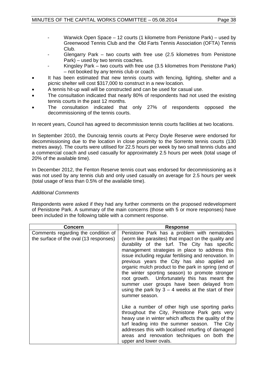- Warwick Open Space 12 courts (1 kilometre from Penistone Park) used by Greenwood Tennis Club and the Old Farts Tennis Association (OFTA) Tennis Club.
- Glengarry Park two courts with free use  $(2.5 \text{ kilometers from Penistone})$ Park) – used by two tennis coaches.
- Kingsley Park two courts with free use (3.5 kilometres from Penistone Park) – not booked by any tennis club or coach.
- It has been estimated that new tennis courts with fencing, lighting, shelter and a picnic shelter will cost \$317,000 to construct in a new location.
- A tennis hit-up wall will be constructed and can be used for casual use.
- The consultation indicated that nearly 80% of respondents had not used the existing tennis courts in the past 12 months.
- The consultation indicated that only 27% of respondents opposed the decommissioning of the tennis courts.

In recent years, Council has agreed to decommission tennis courts facilities at two locations.

In September 2010, the Duncraig tennis courts at Percy Doyle Reserve were endorsed for decommissioning due to the location in close proximity to the Sorrento tennis courts (130 metres away). The courts were utilised for 22.5 hours per week by two small tennis clubs and a commercial coach and used casually for approximately 2.5 hours per week (total usage of 20% of the available time).

In December 2012, the Fenton Reserve tennis court was endorsed for decommissioning as it was not used by any tennis club and only used casually on average for 2.5 hours per week (total usage of less than 0.5% of the available time).

# *Additional Comments*

Respondents were asked if they had any further comments on the proposed redevelopment of Penistone Park. A summary of the main concerns (those with 5 or more responses) have been included in the following table with a comment response.

| Concern                                                                       | <b>Response</b>                                                                                                                                                                                                                                                                                                                                                                                                                                                                                                                                                                                    |  |
|-------------------------------------------------------------------------------|----------------------------------------------------------------------------------------------------------------------------------------------------------------------------------------------------------------------------------------------------------------------------------------------------------------------------------------------------------------------------------------------------------------------------------------------------------------------------------------------------------------------------------------------------------------------------------------------------|--|
| Comments regarding the condition of<br>the surface of the oval (13 responses) | Penistone Park has a problem with nematodes<br>(worm like parasites) that impact on the quality and<br>durability of the turf. The City has specific<br>management strategies in place to address this<br>issue including regular fertilising and renovation. In<br>previous years the City has also applied an<br>organic mulch product to the park in spring (end of<br>the winter sporting season) to promote stronger<br>root growth. Unfortunately this has meant the<br>summer user groups have been delayed from<br>using the park by $3 - 4$ weeks at the start of their<br>summer season. |  |
|                                                                               | Like a number of other high use sporting parks<br>throughout the City, Penistone Park gets very<br>heavy use in winter which affects the quality of the<br>turf leading into the summer season. The City<br>addresses this with localised returfing of damaged<br>areas and renovation techniques on both the<br>upper and lower ovals.                                                                                                                                                                                                                                                            |  |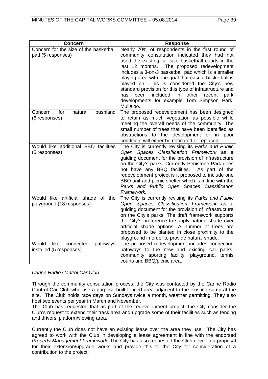| <b>Concern</b>                                                  | <b>Response</b>                                                                                                                                                                                                                                                                                                                                                                                                                                                                                                                                           |
|-----------------------------------------------------------------|-----------------------------------------------------------------------------------------------------------------------------------------------------------------------------------------------------------------------------------------------------------------------------------------------------------------------------------------------------------------------------------------------------------------------------------------------------------------------------------------------------------------------------------------------------------|
| Concern for the size of the basketball<br>pad (5 responses)     | Nearly 70% of respondents in the first round of<br>community consultation indicated they had not<br>used the existing full size basketball courts in the<br>last 12 months.<br>The proposed redevelopment<br>includes a 3-on-3 basketball pad which is a smaller<br>playing area with one goal that casual basketball is<br>played on. This is considered the City's new<br>standard provision for this type of infrastructure and<br>other<br>been<br>included<br>in<br>has<br>recent<br>park<br>developments for example Tom Simpson Park,<br>Mullaloo. |
| bushland<br>Concern<br>for<br>natural<br>(6 responses)          | The proposed redevelopment has been designed<br>to retain as much vegetation as possible while<br>meeting the overall needs of the community. The<br>small number of trees that have been identified as<br>obstructions to the development or in poor<br>condition, will either be relocated or replaced.                                                                                                                                                                                                                                                 |
| Would like additional BBQ facilities<br>(5 responses)           | The City is currently revising its Parks and Public<br>Open Spaces Classification Framework as a<br>guiding document for the provision of infrastructure<br>on the City's parks. Currently Penistone Park does<br>not have any BBQ facilities.<br>As part of the<br>redevelopment project is it proposed to include one<br>BBQ unit and picnic shelter which is in line with the<br>Parks and Public Open Spaces Classification<br>Framework.                                                                                                             |
| Would like artificial shade of the<br>playground (18 responses) | The City is currently revising its Parks and Public<br>Open Spaces Classification Framework as a<br>guiding document for the provision of infrastructure<br>on the City's parks. The draft framework supports<br>the City's preference to supply natural shade over<br>artificial shade options. A number of trees are<br>proposed to be planted in close proximity to the<br>playground in order to provide natural shade.                                                                                                                               |
| Would like<br>pathways<br>connected<br>installed (5 responses)  | The proposed redevelopment includes connection<br>pathways to the new and existing car parks,<br>community sporting facility, playground, tennis<br>courts and BBQ/picnic area.                                                                                                                                                                                                                                                                                                                                                                           |

*Carine Radio Control Car Club*

Through the community consultation process, the City was contacted by the Carine Radio Control Car Club who use a purpose built fenced area adjacent to the existing sump at the site. The Club holds race days on Sundays twice a month, weather permitting. They also host two events per year in March and November.

The Club has requested that as part of the redevelopment project, the City consider the Club's request to extend their track area and upgrade some of their facilities such as fencing and drivers' platform/viewing area.

Currently the Club does not have an existing lease over the area they use. The City has agreed to work with the Club in developing a lease agreement in line with the endorsed *Property Management Framework.* The City has also requested the Club develop a proposal for their extension/upgrade works and provide this to the City for consideration of a contribution to the project.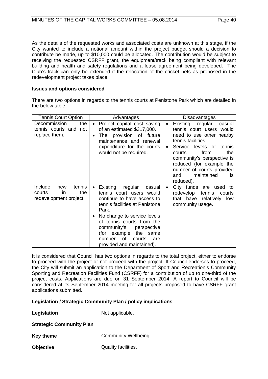As the details of the requested works and associated costs are unknown at this stage, if the City wanted to include a notional amount within the project budget should a decision to contribute be made, up to \$10,000 could be allocated. The contribution would be subject to receiving the requested CSRFF grant, the equipment/track being compliant with relevant building and health and safety regulations and a lease agreement being developed. The Club's track can only be extended if the relocation of the cricket nets as proposed in the redevelopment project takes place.

#### **Issues and options considered**

There are two options in regards to the tennis courts at Penistone Park which are detailed in the below table.

| <b>Tennis Court Option</b>                                                | Advantages                                                                                                                                                                                                                                                                                                                                          | <b>Disadvantages</b>                                                                                                                                                                                                                                                                                                      |  |
|---------------------------------------------------------------------------|-----------------------------------------------------------------------------------------------------------------------------------------------------------------------------------------------------------------------------------------------------------------------------------------------------------------------------------------------------|---------------------------------------------------------------------------------------------------------------------------------------------------------------------------------------------------------------------------------------------------------------------------------------------------------------------------|--|
| Decommission<br>the<br>tennis courts and not<br>replace them.             | Project capital cost saving<br>$\bullet$<br>of an estimated \$317,000.<br>The provision of future<br>$\bullet$<br>maintenance and renewal<br>expenditure for the courts<br>would not be required.                                                                                                                                                   | Existing<br>regular<br>casual<br>$\bullet$<br>tennis court users would<br>need to use other nearby<br>tennis facilities.<br>Service levels of tennis<br>$\bullet$<br>from<br>the<br>courts<br>community's perspective is<br>reduced (for example the<br>number of courts provided<br>maintained<br>and<br>IS<br>reduced). |  |
| Include<br>tennis<br>new<br>the<br>courts<br>in<br>redevelopment project. | Existing<br>regular<br>casual<br>$\bullet$<br>tennis court users would<br>continue to have access to<br>tennis facilities at Penistone<br>Park.<br>No change to service levels<br>$\bullet$<br>of tennis courts from the<br>community's<br>perspective<br>(for example<br>the<br>same<br>of<br>number<br>courts<br>are<br>provided and maintained). | City funds are used to<br>$\bullet$<br>redevelop<br>tennis<br>courts<br>relatively low<br>that have<br>community usage.                                                                                                                                                                                                   |  |

It is considered that Council has two options in regards to the total project, either to endorse to proceed with the project or not proceed with the project. If Council endorses to proceed, the City will submit an application to the Department of Sport and Recreation's Community Sporting and Recreation Facilities Fund (CSRFF) for a contribution of up to one-third of the project costs. Applications are due on 31 September 2014. A report to Council will be considered at its September 2014 meeting for all projects proposed to have CSRFF grant applications submitted.

# **Legislation / Strategic Community Plan / policy implications**

**Legislation** Not applicable.

#### **Strategic Community Plan**

**Key theme Community Wellbeing.** 

**Objective** Quality facilities.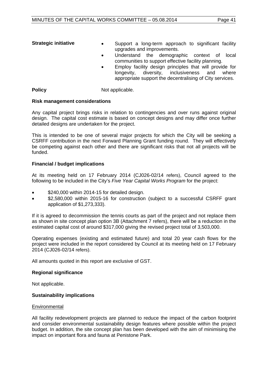- **Strategic initiative •** Support a long-term approach to significant facility upgrades and improvements.
	- Understand the demographic context of local communities to support effective facility planning.
	- Employ facility design principles that will provide for<br>longevity, diversity, inclusiveness and where inclusiveness and where appropriate support the decentralising of City services.

**Policy** Not applicable.

# **Risk management considerations**

Any capital project brings risks in relation to contingencies and over runs against original design. The capital cost estimate is based on concept designs and may differ once further detailed designs are undertaken for the project.

This is intended to be one of several major projects for which the City will be seeking a CSRFF contribution in the next Forward Planning Grant funding round. They will effectively be competing against each other and there are significant risks that not all projects will be funded.

# **Financial / budget implications**

At its meeting held on 17 February 2014 (CJ026-02/14 refers), Council agreed to the following to be included in the City's *Five Year Capital Works Program* for the project:

- \$240,000 within 2014-15 for detailed design.
- \$2,580,000 within 2015-16 for construction (subject to a successful CSRFF grant application of \$1,273,333).

If it is agreed to decommission the tennis courts as part of the project and not replace them as shown in site concept plan option 3B (Attachment 7 refers), there will be a reduction in the estimated capital cost of around \$317,000 giving the revised project total of 3,503,000.

Operating expenses (existing and estimated future) and total 20 year cash flows for the project were included in the report considered by Council at its meeting held on 17 February 2014 (CJ026-02/14 refers).

All amounts quoted in this report are exclusive of GST.

# **Regional significance**

Not applicable.

# **Sustainability implications**

#### **Environmental**

All facility redevelopment projects are planned to reduce the impact of the carbon footprint and consider environmental sustainability design features where possible within the project budget. In addition, the site concept plan has been developed with the aim of minimising the impact on important flora and fauna at Penistone Park.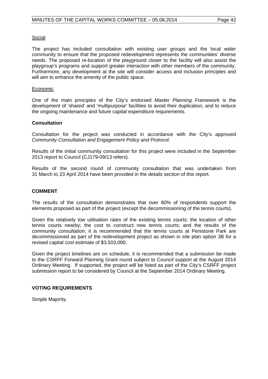#### Social

The project has included consultation with existing user groups and the local wider community to ensure that the proposed redevelopment represents the communities' diverse needs. The proposed re-location of the playground closer to the facility will also assist the playgroup's programs and support greater interaction with other members of the community. Furthermore, any development at the site will consider access and inclusion principles and will aim to enhance the amenity of the public space.

#### Economic

One of the main principles of the City's endorsed *Master Planning Framework* is the development of 'shared' and 'multipurpose' facilities to avoid their duplication, and to reduce the ongoing maintenance and future capital expenditure requirements.

#### **Consultation**

Consultation for the project was conducted in accordance with the City's approved *Community Consultation and Engagement Policy and Protocol.*

Results of the initial community consultation for this project were included in the September 2013 report to Council (CJ179-09/13 refers).

Results of the second round of community consultation that was undertaken from 31 March to 23 April 2014 have been provided in the details section of this report.

#### **COMMENT**

The results of the consultation demonstrates that over 80% of respondents support the elements proposed as part of the project (except the decommissioning of the tennis courts).

Given the relatively low utilisation rates of the existing tennis courts; the location of other tennis courts nearby; the cost to construct new tennis courts; and the results of the community consultation; it is recommended that the tennis courts at Penistone Park are decommissioned as part of the redevelopment project as shown in site plan option 3B for a revised capital cost estimate of \$3,503,000.

Given the project timelines are on schedule, it is recommended that a submission be made to the CSRFF Forward Planning Grant round subject to Council support at the August 2014 Ordinary Meeting. If supported, the project will be listed as part of the City's CSRFF project submission report to be considered by Council at the September 2014 Ordinary Meeting.

#### **VOTING REQUIREMENTS**

Simple Majority.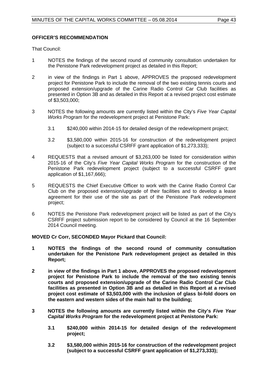# **OFFICER'S RECOMMENDATION**

That Council:

- 1 NOTES the findings of the second round of community consultation undertaken for the Penistone Park redevelopment project as detailed in this Report;
- 2 in view of the findings in Part 1 above, APPROVES the proposed redevelopment project for Penistone Park to include the removal of the two existing tennis courts and proposed extension/upgrade of the Carine Radio Control Car Club facilities as presented in Option 3B and as detailed in this Report at a revised project cost estimate of \$3,503,000;
- 3 NOTES the following amounts are currently listed within the City's *Five Year Capital Works Program* for the redevelopment project at Penistone Park:
	- 3.1 \$240,000 within 2014-15 for detailed design of the redevelopment project;
	- 3.2 \$3,580,000 within 2015-16 for construction of the redevelopment project (subject to a successful CSRFF grant application of \$1,273,333);
- 4 REQUESTS that a revised amount of \$3,263,000 be listed for consideration within 2015-16 of the City's *Five Year Capital Works Program* for the construction of the Penistone Park redevelopment project (subject to a successful CSRFF grant application of \$1,167,666);
- 5 REQUESTS the Chief Executive Officer to work with the Carine Radio Control Car Club on the proposed extension/upgrade of their facilities and to develop a lease agreement for their use of the site as part of the Penistone Park redevelopment project;
- 6 NOTES the Penistone Park redevelopment project will be listed as part of the City's CSRFF project submission report to be considered by Council at the 16 September 2014 Council meeting.

# **MOVED Cr Corr, SECONDED Mayor Pickard that Council:**

- **1 NOTES the findings of the second round of community consultation undertaken for the Penistone Park redevelopment project as detailed in this Report;**
- **2 in view of the findings in Part 1 above, APPROVES the proposed redevelopment project for Penistone Park to include the removal of the two existing tennis courts and proposed extension/upgrade of the Carine Radio Control Car Club facilities as presented in Option 3B and as detailed in this Report at a revised project cost estimate of \$3,503,000 with the inclusion of glass bi-fold doors on the eastern and western sides of the main hall to the building;**
- **3 NOTES the following amounts are currently listed within the City's** *Five Year Capital Works Program* **for the redevelopment project at Penistone Park:**
	- **3.1 \$240,000 within 2014-15 for detailed design of the redevelopment project;**
	- **3.2 \$3,580,000 within 2015-16 for construction of the redevelopment project (subject to a successful CSRFF grant application of \$1,273,333);**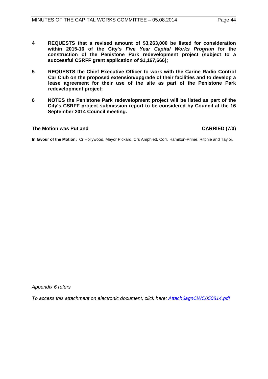- **4 REQUESTS that a revised amount of \$3,263,000 be listed for consideration within 2015-16 of the City's** *Five Year Capital Works Program* **for the construction of the Penistone Park redevelopment project (subject to a successful CSRFF grant application of \$1,167,666);**
- **5 REQUESTS the Chief Executive Officer to work with the Carine Radio Control Car Club on the proposed extension/upgrade of their facilities and to develop a lease agreement for their use of the site as part of the Penistone Park redevelopment project;**
- **6 NOTES the Penistone Park redevelopment project will be listed as part of the City's CSRFF project submission report to be considered by Council at the 16 September 2014 Council meeting.**

#### **The Motion was Put and CARRIED (7/0)**

**In favour of the Motion:** Cr Hollywood, Mayor Pickard, Crs Amphlett, Corr, Hamilton-Prime, Ritchie and Taylor.

*Appendix 6 refers*

<span id="page-43-0"></span>*[To access this attachment on electronic document, click here: Attach6agnCWC050814.pdf](http://www.joondalup.wa.gov.au/files/committees/CWOC/2014/Attach6agnCWC050814.pdf)*